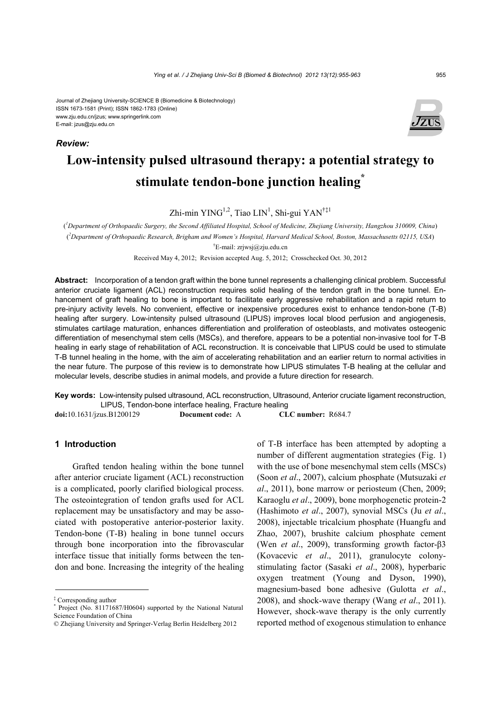#### Journal of Zhejiang University-SCIENCE B (Biomedicine & Biotechnology) ISSN 1673-1581 (Print); ISSN 1862-1783 (Online) www.zju.edu.cn/jzus; www.springerlink.com E-mail: jzus@zju.edu.cn

*Review:*



# **Low-intensity pulsed ultrasound therapy: a potential strategy to stimulate tendon-bone junction healing\***

Zhi-min YING<sup>1,2</sup>, Tiao LIN<sup>1</sup>, Shi-gui YAN<sup>†‡1</sup>

( *1 Department of Orthopaedic Surgery, the Second Affiliated Hospital, School of Medicine, Zhejiang University, Hangzhou 310009, China*) ( *2 Department of Orthopaedic Research, Brigham and Women's Hospital, Harvard Medical School, Boston, Massachusetts 02115, USA*)

† E-mail: zrjwsj@zju.edu.cn

Received May 4, 2012; Revision accepted Aug. 5, 2012; Crosschecked Oct. 30, 2012

**Abstract:** Incorporation of a tendon graft within the bone tunnel represents a challenging clinical problem. Successful anterior cruciate ligament (ACL) reconstruction requires solid healing of the tendon graft in the bone tunnel. Enhancement of graft healing to bone is important to facilitate early aggressive rehabilitation and a rapid return to pre-injury activity levels. No convenient, effective or inexpensive procedures exist to enhance tendon-bone (T-B) healing after surgery. Low-intensity pulsed ultrasound (LIPUS) improves local blood perfusion and angiogenesis. stimulates cartilage maturation, enhances differentiation and proliferation of osteoblasts, and motivates osteogenic differentiation of mesenchymal stem cells (MSCs), and therefore, appears to be a potential non-invasive tool for T-B healing in early stage of rehabilitation of ACL reconstruction. It is conceivable that LIPUS could be used to stimulate T-B tunnel healing in the home, with the aim of accelerating rehabilitation and an earlier return to normal activities in the near future. The purpose of this review is to demonstrate how LIPUS stimulates T-B healing at the cellular and molecular levels, describe studies in animal models, and provide a future direction for research.

**Key words:** Low-intensity pulsed ultrasound, ACL reconstruction, Ultrasound, Anterior cruciate ligament reconstruction, LIPUS, Tendon-bone interface healing, Fracture healing

**doi:**10.1631/jzus.B1200129 **Document code:** A **CLC number:** R684.7

#### **1 Introduction**

Grafted tendon healing within the bone tunnel after anterior cruciate ligament (ACL) reconstruction is a complicated, poorly clarified biological process. The osteointegration of tendon grafts used for ACL replacement may be unsatisfactory and may be associated with postoperative anterior-posterior laxity. Tendon-bone (T-B) healing in bone tunnel occurs through bone incorporation into the fibrovascular interface tissue that initially forms between the tendon and bone. Increasing the integrity of the healing of T-B interface has been attempted by adopting a number of different augmentation strategies (Fig. 1) with the use of bone mesenchymal stem cells (MSCs) (Soon *et al*., 2007), calcium phosphate (Mutsuzaki *et al*., 2011), bone marrow or periosteum (Chen, 2009; Karaoglu *et al*., 2009), bone morphogenetic protein-2 (Hashimoto *et al*., 2007), synovial MSCs (Ju *et al*., 2008), injectable tricalcium phosphate (Huangfu and Zhao, 2007), brushite calcium phosphate cement (Wen *et al*., 2009), transforming growth factor-β3 (Kovacevic *et al*., 2011), granulocyte colonystimulating factor (Sasaki *et al*., 2008), hyperbaric oxygen treatment (Young and Dyson, 1990), magnesium-based bone adhesive (Gulotta *et al*., 2008), and shock-wave therapy (Wang *et al*., 2011). However, shock-wave therapy is the only currently reported method of exogenous stimulation to enhance

<sup>‡</sup> Corresponding author

<sup>\*</sup> Project (No. 81171687/H0604) supported by the National Natural Science Foundation of China

<sup>©</sup> Zhejiang University and Springer-Verlag Berlin Heidelberg 2012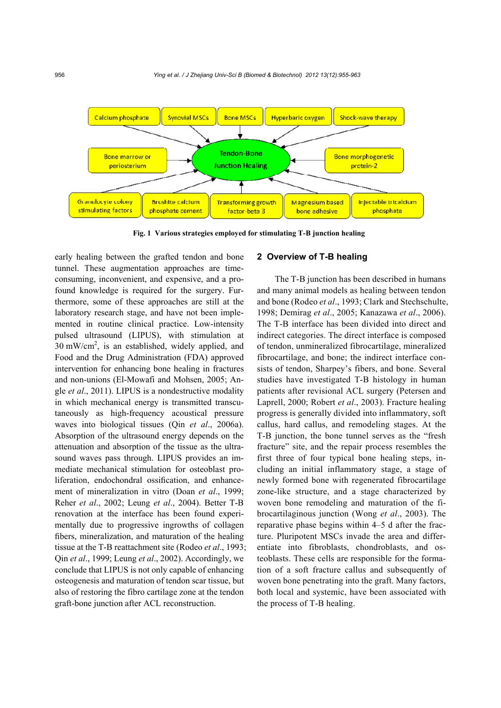

**Fig. 1 Various strategies employed for stimulating T-B junction healing**

early healing between the grafted tendon and bone tunnel. These augmentation approaches are timeconsuming, inconvenient, and expensive, and a profound knowledge is required for the surgery. Furthermore, some of these approaches are still at the laboratory research stage, and have not been implemented in routine clinical practice. Low-intensity pulsed ultrasound (LIPUS), with stimulation at  $30 \text{ mW/cm}^2$ , is an established, widely applied, and Food and the Drug Administration (FDA) approved intervention for enhancing bone healing in fractures and non-unions (El-Mowafi and Mohsen, 2005; Angle *et al*., 2011). LIPUS is a nondestructive modality in which mechanical energy is transmitted transcutaneously as high-frequency acoustical pressure waves into biological tissues (Qin *et al*., 2006a). Absorption of the ultrasound energy depends on the attenuation and absorption of the tissue as the ultrasound waves pass through. LIPUS provides an immediate mechanical stimulation for osteoblast proliferation, endochondral ossification, and enhancement of mineralization in vitro (Doan *et al*., 1999; Reher *et al*., 2002; Leung *et al*., 2004). Better T-B renovation at the interface has been found experimentally due to progressive ingrowths of collagen fibers, mineralization, and maturation of the healing tissue at the T-B reattachment site (Rodeo *et al*., 1993; Qin *et al*., 1999; Leung *et al*., 2002). Accordingly, we conclude that LIPUS is not only capable of enhancing osteogenesis and maturation of tendon scar tissue, but also of restoring the fibro cartilage zone at the tendon graft-bone junction after ACL reconstruction.

#### **2 Overview of T-B healing**

The T-B junction has been described in humans and many animal models as healing between tendon and bone (Rodeo *et al*., 1993; Clark and Stechschulte, 1998; Demirag *et al*., 2005; Kanazawa *et al*., 2006). The T-B interface has been divided into direct and indirect categories. The direct interface is composed of tendon, unmineralized fibrocartilage, mineralized fibrocartilage, and bone; the indirect interface consists of tendon, Sharpey's fibers, and bone. Several studies have investigated T-B histology in human patients after revisional ACL surgery (Petersen and Laprell, 2000; Robert *et al*., 2003). Fracture healing progress is generally divided into inflammatory, soft callus, hard callus, and remodeling stages. At the T-B junction, the bone tunnel serves as the "fresh fracture" site, and the repair process resembles the first three of four typical bone healing steps, including an initial inflammatory stage, a stage of newly formed bone with regenerated fibrocartilage zone-like structure, and a stage characterized by woven bone remodeling and maturation of the fibrocartilaginous junction (Wong *et al*., 2003). The reparative phase begins within 4–5 d after the fracture. Pluripotent MSCs invade the area and differentiate into fibroblasts, chondroblasts, and osteoblasts. These cells are responsible for the formation of a soft fracture callus and subsequently of woven bone penetrating into the graft. Many factors, both local and systemic, have been associated with the process of T-B healing.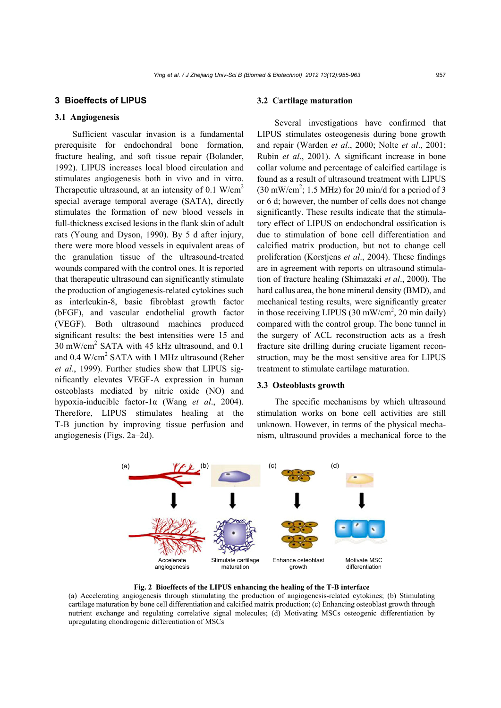## **3 Bioeffects of LIPUS**

#### **3.1 Angiogenesis**

Sufficient vascular invasion is a fundamental prerequisite for endochondral bone formation, fracture healing, and soft tissue repair (Bolander, 1992). LIPUS increases local blood circulation and stimulates angiogenesis both in vivo and in vitro. Therapeutic ultrasound, at an intensity of 0.1  $W/cm<sup>2</sup>$ special average temporal average (SATA), directly stimulates the formation of new blood vessels in full-thickness excised lesions in the flank skin of adult rats (Young and Dyson, 1990). By 5 d after injury, there were more blood vessels in equivalent areas of the granulation tissue of the ultrasound-treated wounds compared with the control ones. It is reported that therapeutic ultrasound can significantly stimulate the production of angiogenesis-related cytokines such as interleukin-8, basic fibroblast growth factor (bFGF), and vascular endothelial growth factor (VEGF). Both ultrasound machines produced significant results: the best intensities were 15 and 30 mW/cm2 SATA with 45 kHz ultrasound, and 0.1 and 0.4 W/cm<sup>2</sup> SATA with 1 MHz ultrasound (Reher *et al*., 1999). Further studies show that LIPUS significantly elevates VEGF-A expression in human osteoblasts mediated by nitric oxide (NO) and hypoxia-inducible factor-1α (Wang *et al*., 2004). Therefore, LIPUS stimulates healing at the T-B junction by improving tissue perfusion and angiogenesis (Figs. 2a–2d).

#### **3.2 Cartilage maturation**

Several investigations have confirmed that LIPUS stimulates osteogenesis during bone growth and repair (Warden *et al*., 2000; Nolte *et al*., 2001; Rubin *et al*., 2001). A significant increase in bone collar volume and percentage of calcified cartilage is found as a result of ultrasound treatment with LIPUS  $(30 \text{ mW/cm}^2$ ; 1.5 MHz) for 20 min/d for a period of 3 or 6 d; however, the number of cells does not change significantly. These results indicate that the stimulatory effect of LIPUS on endochondral ossification is due to stimulation of bone cell differentiation and calcified matrix production, but not to change cell proliferation (Korstjens *et al*., 2004). These findings are in agreement with reports on ultrasound stimulation of fracture healing (Shimazaki *et al*., 2000). The hard callus area, the bone mineral density (BMD), and mechanical testing results, were significantly greater in those receiving LIPUS  $(30 \text{ mW/cm}^2, 20 \text{ min daily})$ compared with the control group. The bone tunnel in the surgery of ACL reconstruction acts as a fresh fracture site drilling during cruciate ligament reconstruction, may be the most sensitive area for LIPUS treatment to stimulate cartilage maturation.

## **3.3 Osteoblasts growth**

The specific mechanisms by which ultrasound stimulation works on bone cell activities are still unknown. However, in terms of the physical mechanism, ultrasound provides a mechanical force to the



**Fig. 2 Bioeffects of the LIPUS enhancing the healing of the T-B interface** 

(a) Accelerating angiogenesis through stimulating the production of angiogenesis-related cytokines; (b) Stimulating cartilage maturation by bone cell differentiation and calcified matrix production; (c) Enhancing osteoblast growth through nutrient exchange and regulating correlative signal molecules; (d) Motivating MSCs osteogenic differentiation by upregulating chondrogenic differentiation of MSCs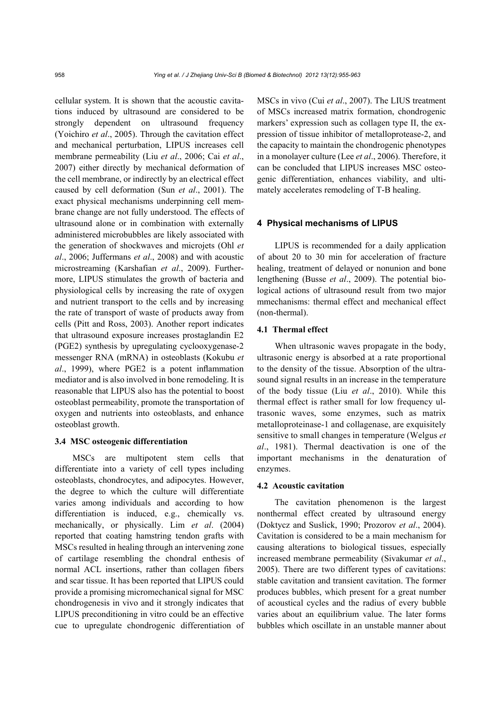cellular system. It is shown that the acoustic cavitations induced by ultrasound are considered to be strongly dependent on ultrasound frequency (Yoichiro *et al*., 2005). Through the cavitation effect and mechanical perturbation, LIPUS increases cell membrane permeability (Liu *et al*., 2006; Cai *et al*., 2007) either directly by mechanical deformation of the cell membrane, or indirectly by an electrical effect caused by cell deformation (Sun *et al*., 2001). The exact physical mechanisms underpinning cell membrane change are not fully understood. The effects of ultrasound alone or in combination with externally administered microbubbles are likely associated with the generation of shockwaves and microjets (Ohl *et al*., 2006; Juffermans *et al*., 2008) and with acoustic microstreaming (Karshafian *et al*., 2009). Furthermore, LIPUS stimulates the growth of bacteria and physiological cells by increasing the rate of oxygen and nutrient transport to the cells and by increasing the rate of transport of waste of products away from cells (Pitt and Ross, 2003). Another report indicates that ultrasound exposure increases prostaglandin E2 (PGE2) synthesis by upregulating cyclooxygenase-2 messenger RNA (mRNA) in osteoblasts (Kokubu *et al*., 1999), where PGE2 is a potent inflammation mediator and is also involved in bone remodeling. It is reasonable that LIPUS also has the potential to boost osteoblast permeability, promote the transportation of oxygen and nutrients into osteoblasts, and enhance osteoblast growth.

#### **3.4 MSC osteogenic differentiation**

MSCs are multipotent stem cells that differentiate into a variety of cell types including osteoblasts, chondrocytes, and adipocytes. However, the degree to which the culture will differentiate varies among individuals and according to how differentiation is induced, e.g., chemically vs. mechanically, or physically. Lim *et al*. (2004) reported that coating hamstring tendon grafts with MSCs resulted in healing through an intervening zone of cartilage resembling the chondral enthesis of normal ACL insertions, rather than collagen fibers and scar tissue. It has been reported that LIPUS could provide a promising micromechanical signal for MSC chondrogenesis in vivo and it strongly indicates that LIPUS preconditioning in vitro could be an effective cue to upregulate chondrogenic differentiation of MSCs in vivo (Cui *et al*., 2007). The LIUS treatment of MSCs increased matrix formation, chondrogenic markers' expression such as collagen type II, the expression of tissue inhibitor of metalloprotease-2, and the capacity to maintain the chondrogenic phenotypes in a monolayer culture (Lee *et al*., 2006). Therefore, it can be concluded that LIPUS increases MSC osteogenic differentiation, enhances viability, and ultimately accelerates remodeling of T-B healing.

## **4 Physical mechanisms of LIPUS**

LIPUS is recommended for a daily application of about 20 to 30 min for acceleration of fracture healing, treatment of delayed or nonunion and bone lengthening (Busse *et al*., 2009). The potential biological actions of ultrasound result from two major mmechanisms: thermal effect and mechanical effect (non-thermal).

## **4.1 Thermal effect**

When ultrasonic waves propagate in the body, ultrasonic energy is absorbed at a rate proportional to the density of the tissue. Absorption of the ultrasound signal results in an increase in the temperature of the body tissue (Liu *et al*., 2010). While this thermal effect is rather small for low frequency ultrasonic waves, some enzymes, such as matrix metalloproteinase-1 and collagenase, are exquisitely sensitive to small changes in temperature (Welgus *et al*., 1981). Thermal deactivation is one of the important mechanisms in the denaturation of enzymes.

#### **4.2 Acoustic cavitation**

The cavitation phenomenon is the largest nonthermal effect created by ultrasound energy (Doktycz and Suslick, 1990; Prozorov *et al*., 2004). Cavitation is considered to be a main mechanism for causing alterations to biological tissues, especially increased membrane permeability (Sivakumar *et al*., 2005). There are two different types of cavitations: stable cavitation and transient cavitation. The former produces bubbles, which present for a great number of acoustical cycles and the radius of every bubble varies about an equilibrium value. The later forms bubbles which oscillate in an unstable manner about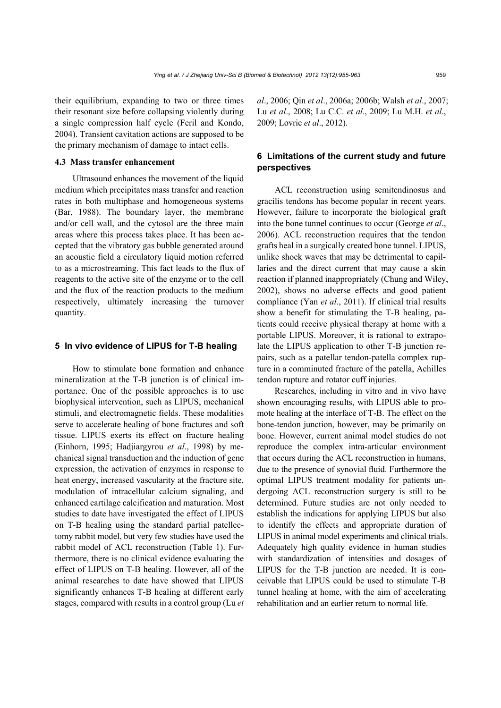their equilibrium, expanding to two or three times their resonant size before collapsing violently during a single compression half cycle (Feril and Kondo, 2004). Transient cavitation actions are supposed to be the primary mechanism of damage to intact cells.

## **4.3 Mass transfer enhancement**

Ultrasound enhances the movement of the liquid medium which precipitates mass transfer and reaction rates in both multiphase and homogeneous systems (Bar, 1988). The boundary layer, the membrane and/or cell wall, and the cytosol are the three main areas where this process takes place. It has been accepted that the vibratory gas bubble generated around an acoustic field a circulatory liquid motion referred to as a microstreaming. This fact leads to the flux of reagents to the active site of the enzyme or to the cell and the flux of the reaction products to the medium respectively, ultimately increasing the turnover quantity.

#### **5 In vivo evidence of LIPUS for T-B healing**

How to stimulate bone formation and enhance mineralization at the T-B junction is of clinical importance. One of the possible approaches is to use biophysical intervention, such as LIPUS, mechanical stimuli, and electromagnetic fields. These modalities serve to accelerate healing of bone fractures and soft tissue. LIPUS exerts its effect on fracture healing (Einhorn, 1995; Hadjiargyrou *et al*., 1998) by mechanical signal transduction and the induction of gene expression, the activation of enzymes in response to heat energy, increased vascularity at the fracture site, modulation of intracellular calcium signaling, and enhanced cartilage calcification and maturation. Most studies to date have investigated the effect of LIPUS on T-B healing using the standard partial patellectomy rabbit model, but very few studies have used the rabbit model of ACL reconstruction (Table 1). Furthermore, there is no clinical evidence evaluating the effect of LIPUS on T-B healing. However, all of the animal researches to date have showed that LIPUS significantly enhances T-B healing at different early stages, compared with results in a control group (Lu *et* 

*al*., 2006; Qin *et al*., 2006a; 2006b; Walsh *et al*., 2007; Lu *et al*., 2008; Lu C.C. *et al*., 2009; Lu M.H. *et al*., 2009; Lovric *et al*., 2012).

# **6 Limitations of the current study and future perspectives**

ACL reconstruction using semitendinosus and gracilis tendons has become popular in recent years. However, failure to incorporate the biological graft into the bone tunnel continues to occur (George *et al*., 2006). ACL reconstruction requires that the tendon grafts heal in a surgically created bone tunnel. LIPUS, unlike shock waves that may be detrimental to capillaries and the direct current that may cause a skin reaction if planned inappropriately (Chung and Wiley, 2002), shows no adverse effects and good patient compliance (Yan *et al*., 2011). If clinical trial results show a benefit for stimulating the T-B healing, patients could receive physical therapy at home with a portable LIPUS. Moreover, it is rational to extrapolate the LIPUS application to other T-B junction repairs, such as a patellar tendon-patella complex rupture in a comminuted fracture of the patella, Achilles tendon rupture and rotator cuff injuries.

Researches, including in vitro and in vivo have shown encouraging results, with LIPUS able to promote healing at the interface of T-B. The effect on the bone-tendon junction, however, may be primarily on bone. However, current animal model studies do not reproduce the complex intra-articular environment that occurs during the ACL reconstruction in humans, due to the presence of synovial fluid. Furthermore the optimal LIPUS treatment modality for patients undergoing ACL reconstruction surgery is still to be determined. Future studies are not only needed to establish the indications for applying LIPUS but also to identify the effects and appropriate duration of LIPUS in animal model experiments and clinical trials. Adequately high quality evidence in human studies with standardization of intensities and dosages of LIPUS for the T-B junction are needed. It is conceivable that LIPUS could be used to stimulate T-B tunnel healing at home, with the aim of accelerating rehabilitation and an earlier return to normal life.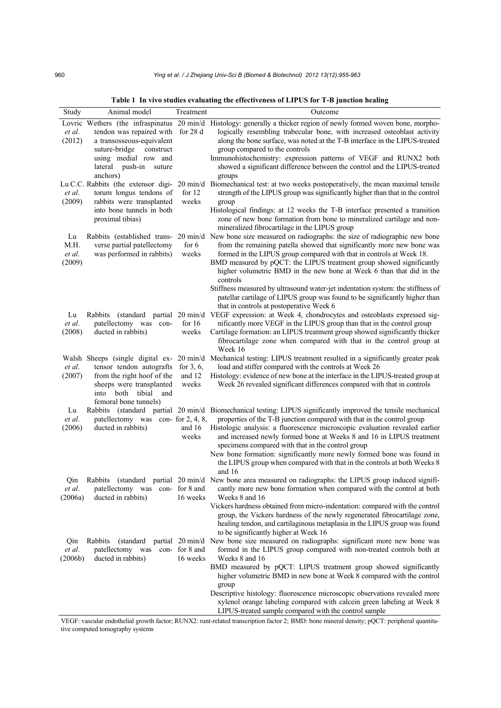|  |  |  | Table 1 In vivo studies evaluating the effectiveness of LIPUS for T-B junction healing |  |  |  |  |  |  |  |  |
|--|--|--|----------------------------------------------------------------------------------------|--|--|--|--|--|--|--|--|
|--|--|--|----------------------------------------------------------------------------------------|--|--|--|--|--|--|--|--|

| Study   | Animal model                       | Treatment     | Outcome                                                                                                                                                                          |
|---------|------------------------------------|---------------|----------------------------------------------------------------------------------------------------------------------------------------------------------------------------------|
|         |                                    |               | Lovric Wethers (the infraspinatus 20 min/d Histology: generally a thicker region of newly formed woven bone, morpho-                                                             |
| et al.  | tendon was repaired with for 28 d  |               | logically resembling trabecular bone, with increased osteoblast activity                                                                                                         |
| (2012)  | a transosseous-equivalent          |               | along the bone surface, was noted at the T-B interface in the LIPUS-treated                                                                                                      |
|         | suture-bridge<br>construct         |               | group compared to the controls                                                                                                                                                   |
|         | using medial row and               |               | Immunohistochemistry: expression patterns of VEGF and RUNX2 both                                                                                                                 |
|         | lateral push-in<br>suture          |               | showed a significant difference between the control and the LIPUS-treated                                                                                                        |
|         | anchors)                           |               | groups<br>Lu C.C. Rabbits (the extensor digi- 20 min/d Biomechanical test: at two weeks postoperatively, the mean maximal tensile                                                |
| et al.  | torum longus tendons of            | for $12$      | strength of the LIPUS group was significantly higher than that in the control                                                                                                    |
| (2009)  | rabbits were transplanted          | weeks         | group                                                                                                                                                                            |
|         | into bone tunnels in both          |               | Histological findings: at 12 weeks the T-B interface presented a transition                                                                                                      |
|         | proximal tibias)                   |               | zone of new bone formation from bone to mineralized cartilage and non-                                                                                                           |
|         |                                    |               | mineralized fibrocartilage in the LIPUS group                                                                                                                                    |
| Lu      |                                    |               | Rabbits (established trans- 20 min/d New bone size measured on radiographs: the size of radiographic new bone                                                                    |
| M.H.    | verse partial patellectomy         | for $6$       | from the remaining patella showed that significantly more new bone was                                                                                                           |
| et al.  | was performed in rabbits)          | weeks         | formed in the LIPUS group compared with that in controls at Week 18.                                                                                                             |
| (2009)  |                                    |               | BMD measured by pQCT: the LIPUS treatment group showed significantly                                                                                                             |
|         |                                    |               | higher volumetric BMD in the new bone at Week 6 than that did in the<br>controls                                                                                                 |
|         |                                    |               | Stiffness measured by ultrasound water-jet indentation system: the stiffness of                                                                                                  |
|         |                                    |               | patellar cartilage of LIPUS group was found to be significantly higher than                                                                                                      |
|         |                                    |               | that in controls at postoperative Week 6                                                                                                                                         |
| Lu      | Rabbits                            |               | (standard partial 20 min/d VEGF expression: at Week 4, chondrocytes and osteoblasts expressed sig-                                                                               |
| et al.  | patellectomy was con-              | for $16$      | nificantly more VEGF in the LIPUS group than that in the control group                                                                                                           |
| (2008)  | ducted in rabbits)                 | weeks         | Cartilage formation: an LIPUS treatment group showed significantly thicker                                                                                                       |
|         |                                    |               | fibrocartilage zone when compared with that in the control group at                                                                                                              |
|         |                                    |               | Week 16                                                                                                                                                                          |
| et al.  | tensor tendon autografts           | for $3, 6$ ,  | Walsh Sheeps (single digital ex- 20 min/d Mechanical testing: LIPUS treatment resulted in a significantly greater peak<br>load and stiffer compared with the controls at Week 26 |
| (2007)  | from the right hoof of the         | and 12        | Histology: evidence of new bone at the interface in the LIPUS-treated group at                                                                                                   |
|         | sheeps were transplanted           | weeks         | Week 26 revealed significant differences compared with that in controls                                                                                                          |
|         | into both tibial and               |               |                                                                                                                                                                                  |
|         | femoral bone tunnels)              |               |                                                                                                                                                                                  |
| Lu      |                                    |               | Rabbits (standard partial 20 min/d Biomechanical testing: LIPUS significantly improved the tensile mechanical                                                                    |
| et al.  | patellectomy was con- for 2, 4, 8, |               | properties of the T-B junction compared with that in the control group                                                                                                           |
| (2006)  | ducted in rabbits)                 | and 16        | Histologic analysis: a fluorescence microscopic evaluation revealed earlier                                                                                                      |
|         |                                    | weeks         | and increased newly formed bone at Weeks 8 and 16 in LIPUS treatment<br>specimens compared with that in the control group                                                        |
|         |                                    |               | New bone formation: significantly more newly formed bone was found in                                                                                                            |
|         |                                    |               | the LIPUS group when compared with that in the controls at both Weeks 8                                                                                                          |
|         |                                    |               | and 16                                                                                                                                                                           |
| Qin     | Rabbits<br>(standard)              |               | partial 20 min/d New bone area measured on radiographs: the LIPUS group induced signifi-                                                                                         |
| et al.  | patellectomy was con- for 8 and    |               | cantly more new bone formation when compared with the control at both                                                                                                            |
| (2006a) | ducted in rabbits)                 | 16 weeks      | Weeks 8 and 16                                                                                                                                                                   |
|         |                                    |               | Vickers hardness obtained from micro-indentation: compared with the control                                                                                                      |
|         |                                    |               | group, the Vickers hardness of the newly regenerated fibrocartilage zone,<br>healing tendon, and cartilaginous metaplasia in the LIPUS group was found                           |
|         |                                    |               | to be significantly higher at Week 16                                                                                                                                            |
| Qin     | Rabbits<br>(standard)              |               | partial 20 min/d New bone size measured on radiographs: significant more new bone was                                                                                            |
| et al.  | patellectomy was                   | con-for 8 and | formed in the LIPUS group compared with non-treated controls both at                                                                                                             |
| (2006b) | ducted in rabbits)                 | 16 weeks      | Weeks 8 and 16                                                                                                                                                                   |
|         |                                    |               | BMD measured by pQCT: LIPUS treatment group showed significantly                                                                                                                 |
|         |                                    |               | higher volumetric BMD in new bone at Week 8 compared with the control                                                                                                            |
|         |                                    |               | group                                                                                                                                                                            |
|         |                                    |               | Descriptive histology: fluorescence microscopic observations revealed more<br>xylenol orange labeling compared with calcein green labeling at Week 8                             |
|         |                                    |               | LIPUS-treated sample compared with the control sample                                                                                                                            |

VEGF: vascular endothelial growth factor; RUNX2: runt-related transcription factor 2; BMD: bone mineral density; pQCT: peripheral quantitative computed tomography systems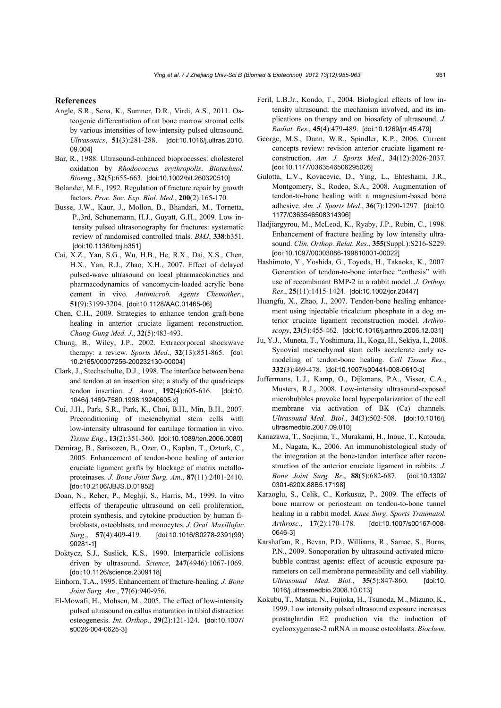#### **References**

- Angle, S.R., Sena, K., Sumner, D.R., Virdi, A.S., 2011. Osteogenic differentiation of rat bone marrow stromal cells by various intensities of low-intensity pulsed ultrasound. *Ultrasonics*, **51**(3):281-288. [doi:10.1016/j.ultras.2010. 09.004]
- Bar, R., 1988. Ultrasound-enhanced bioprocesses: cholesterol oxidation by *Rhodococcus erythropolis*. *Biotechnol. Bioeng.*, **32**(5):655-663. [doi:10.1002/bit.260320510]
- Bolander, M.E., 1992. Regulation of fracture repair by growth factors. *Proc. Soc. Exp. Biol. Med*., **200**(2):165-170.
- Busse, J.W., Kaur, J., Mollon, B., Bhandari, M., Tornetta, P.,3rd, Schunemann, H.J., Guyatt, G.H., 2009. Low intensity pulsed ultrasonography for fractures: systematic review of randomised controlled trials. *BMJ*, **338**:b351. [doi:10.1136/bmj.b351]
- Cai, X.Z., Yan, S.G., Wu, H.B., He, R.X., Dai, X.S., Chen, H.X., Yan, R.J., Zhao, X.H., 2007. Effect of delayed pulsed-wave ultrasound on local pharmacokinetics and pharmacodynamics of vancomycin-loaded acrylic bone cement in vivo. *Antimicrob. Agents Chemother.*, **51**(9):3199-3204. [doi:10.1128/AAC.01465-06]
- Chen, C.H., 2009. Strategies to enhance tendon graft-bone healing in anterior cruciate ligament reconstruction. *Chang Gung Med. J*., **32**(5):483-493.
- Chung, B., Wiley, J.P., 2002. Extracorporeal shockwave therapy: a review. *Sports Med*., **32**(13):851-865. [doi: 10.2165/00007256-200232130-00004]
- Clark, J., Stechschulte, D.J., 1998. The interface between bone and tendon at an insertion site: a study of the quadriceps tendon insertion. *J. Anat.*, **192**(4):605-616. [doi:10. 1046/j.1469-7580.1998.19240605.x]
- Cui, J.H., Park, S.R., Park, K., Choi, B.H., Min, B.H., 2007. Preconditioning of mesenchymal stem cells with low-intensity ultrasound for cartilage formation in vivo. *Tissue Eng*., **13**(2):351-360. [doi:10.1089/ten.2006.0080]
- Demirag, B., Sarisozen, B., Ozer, O., Kaplan, T., Ozturk, C., 2005. Enhancement of tendon-bone healing of anterior cruciate ligament grafts by blockage of matrix metalloproteinases. *J. Bone Joint Surg. Am*., **87**(11):2401-2410. [doi:10.2106/JBJS.D.01952]
- Doan, N., Reher, P., Meghji, S., Harris, M., 1999. In vitro effects of therapeutic ultrasound on cell proliferation, protein synthesis, and cytokine production by human fibroblasts, osteoblasts, and monocytes. *J. Oral. Maxillofac. Surg*., **57**(4):409-419. [doi:10.1016/S0278-2391(99) 90281-1]
- Doktycz, S.J., Suslick, K.S., 1990. Interparticle collisions driven by ultrasound. *Science*, **247**(4946):1067-1069. [doi:10.1126/science.2309118]
- Einhorn, T.A., 1995. Enhancement of fracture-healing. *J. Bone Joint Surg. Am*., **77**(6):940-956.
- El-Mowafi, H., Mohsen, M., 2005. The effect of low-intensity pulsed ultrasound on callus maturation in tibial distraction osteogenesis. *Int. Orthop*., **29**(2):121-124. [doi:10.1007/ s0026-004-0625-3]
- Feril, L.B.Jr., Kondo, T., 2004. Biological effects of low intensity ultrasound: the mechanism involved, and its implications on therapy and on biosafety of ultrasound. *J. Radiat. Res*., **45**(4):479-489. [doi:10.1269/jrr.45.479]
- George, M.S., Dunn, W.R., Spindler, K.P., 2006. Current concepts review: revision anterior cruciate ligament reconstruction. *Am. J. Sports Med*., **34**(12):2026-2037. [doi:10.1177/0363546506295026]
- Gulotta, L.V., Kovacevic, D., Ying, L., Ehteshami, J.R., Montgomery, S., Rodeo, S.A., 2008. Augmentation of tendon-to-bone healing with a magnesium-based bone adhesive. *Am. J. Sports Med*., **36**(7):1290-1297. [doi:10. 1177/0363546508314396]
- Hadjiargyrou, M., McLeod, K., Ryaby, J.P., Rubin, C., 1998. Enhancement of fracture healing by low intensity ultrasound. *Clin. Orthop. Relat. Res*., **355**(Suppl.):S216-S229. [doi:10.1097/00003086-199810001-00022]
- Hashimoto, Y., Yoshida, G., Toyoda, H., Takaoka, K., 2007. Generation of tendon-to-bone interface "enthesis" with use of recombinant BMP-2 in a rabbit model. *J. Orthop. Res*., **25**(11):1415-1424. [doi:10.1002/jor.20447]
- Huangfu, X., Zhao, J., 2007. Tendon-bone healing enhancement using injectable tricalcium phosphate in a dog anterior cruciate ligament reconstruction model. *Arthroscopy*, **23**(5):455-462. [doi:10.1016/j.arthro.2006.12.031]
- Ju, Y.J., Muneta, T., Yoshimura, H., Koga, H., Sekiya, I., 2008. Synovial mesenchymal stem cells accelerate early remodeling of tendon-bone healing. *Cell Tissue Res*., **332**(3):469-478. [doi:10.1007/s00441-008-0610-z]
- Juffermans, L.J., Kamp, O., Dijkmans, P.A., Visser, C.A., Musters, R.J., 2008. Low-intensity ultrasound-exposed microbubbles provoke local hyperpolarization of the cell membrane via activation of BK (Ca) channels. *Ultrasound Med., Biol.*, **34**(3):502-508. [doi:10.1016/j. ultrasmedbio.2007.09.010]
- Kanazawa, T., Soejima, T., Murakami, H., Inoue, T., Katouda, M., Nagata, K., 2006. An immunohistological study of the integration at the bone-tendon interface after reconstruction of the anterior cruciate ligament in rabbits. *J. Bone Joint Surg. Br*., **88**(5):682-687. [doi:10.1302/ 0301-620X.88B5.17198]
- Karaoglu, S., Celik, C., Korkusuz, P., 2009. The effects of bone marrow or periosteum on tendon-to-bone tunnel healing in a rabbit model. *Knee Surg. Sports Traumatol. Arthrosc.*, **17**(2):170-178. [doi:10.1007/s00167-008- 0646-3]
- Karshafian, R., Bevan, P.D., Williams, R., Samac, S., Burns, P.N., 2009. Sonoporation by ultrasound-activated microbubble contrast agents: effect of acoustic exposure parameters on cell membrane permeability and cell viability. *Ultrasound Med. Biol.*, **35**(5):847-860. [doi:10. 1016/j.ultrasmedbio.2008.10.013]
- Kokubu, T., Matsui, N., Fujioka, H., Tsunoda, M., Mizuno, K., 1999. Low intensity pulsed ultrasound exposure increases prostaglandin E2 production via the induction of cyclooxygenase-2 mRNA in mouse osteoblasts. *Biochem.*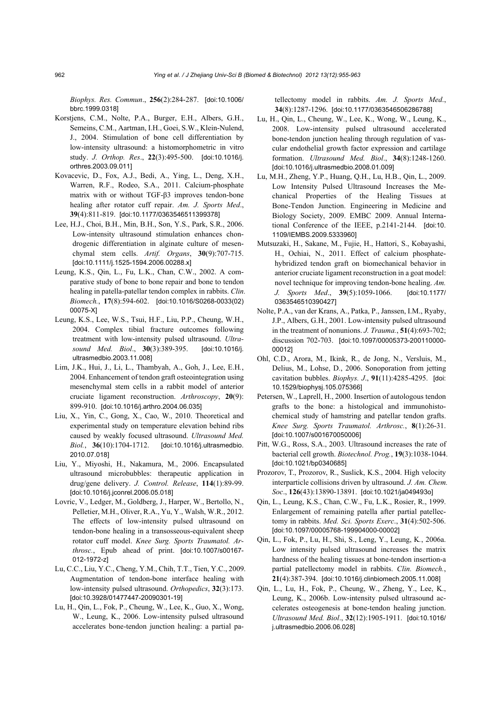*Biophys. Res. Commun*., **256**(2):284-287. [doi:10.1006/ bbrc.1999.0318]

- Korstiens, C.M., Nolte, P.A., Burger, E.H., Albers, G.H., Semeins, C.M., Aartman, I.H., Goei, S.W., Klein-Nulend, J., 2004. Stimulation of bone cell differentiation by low-intensity ultrasound: a histomorphometric in vitro study. *J. Orthop. Res*., **22**(3):495-500. [doi:10.1016/j. orthres.2003.09.011]
- Kovacevic, D., Fox, A.J., Bedi, A., Ying, L., Deng, X.H., Warren, R.F., Rodeo, S.A., 2011. Calcium-phosphate matrix with or without TGF-β3 improves tendon-bone healing after rotator cuff repair. *Am. J. Sports Med*., **39**(4):811-819. [doi:10.1177/0363546511399378]
- Lee, H.J., Choi, B.H., Min, B.H., Son, Y.S., Park, S.R., 2006. Low-intensity ultrasound stimulation enhances chondrogenic differentiation in alginate culture of mesenchymal stem cells. *Artif. Organs*, **30**(9):707-715. [doi:10.1111/j.1525-1594.2006.00288.x]
- Leung, K.S., Qin, L., Fu, L.K., Chan, C.W., 2002. A comparative study of bone to bone repair and bone to tendon healing in patella-patellar tendon complex in rabbits. *Clin. Biomech.*, **17**(8):594-602. [doi:10.1016/S0268-0033(02) 00075-X]
- Leung, K.S., Lee, W.S., Tsui, H.F., Liu, P.P., Cheung, W.H., 2004. Complex tibial fracture outcomes following treatment with low-intensity pulsed ultrasound. *Ultrasound Med. Biol*., **30**(3):389-395. [doi:10.1016/j. ultrasmedbio.2003.11.008]
- Lim, J.K., Hui, J., Li, L., Thambyah, A., Goh, J., Lee, E.H*.*, 2004. Enhancement of tendon graft osteointegration using mesenchymal stem cells in a rabbit model of anterior cruciate ligament reconstruction. *Arthroscopy*, **20**(9): 899-910. [doi:10.1016/j.arthro.2004.06.035]
- Liu, X., Yin, C., Gong, X., Cao, W., 2010. Theoretical and experimental study on temperature elevation behind ribs caused by weakly focused ultrasound. *Ultrasound Med. Biol.*, **36**(10):1704-1712. [doi:10.1016/j.ultrasmedbio. 2010.07.018]
- Liu, Y., Miyoshi, H., Nakamura, M., 2006. Encapsulated ultrasound microbubbles: therapeutic application in drug/gene delivery. *J. Control. Release*, **114**(1):89-99. [doi:10.1016/j.jconrel.2006.05.018]
- Lovric, V., Ledger, M., Goldberg, J., Harper, W., Bertollo, N., Pelletier, M.H., Oliver, R.A., Yu, Y., Walsh, W.R., 2012. The effects of low-intensity pulsed ultrasound on tendon-bone healing in a transosseous-equivalent sheep rotator cuff model. *Knee Surg. Sports Traumatol. Arthrosc.*, Epub ahead of print. [doi:10.1007/s00167- 012-1972-z]
- Lu, C.C., Liu, Y.C., Cheng, Y.M., Chih, T.T., Tien, Y.C., 2009. Augmentation of tendon-bone interface healing with low-intensity pulsed ultrasound. *Orthopedics*, **32**(3):173. [doi:10.3928/01477447-20090301-19]
- Lu, H., Qin, L., Fok, P., Cheung, W., Lee, K., Guo, X., Wong, W., Leung, K., 2006. Low-intensity pulsed ultrasound accelerates bone-tendon junction healing: a partial pa-

tellectomy model in rabbits. *Am. J. Sports Med*., **34**(8):1287-1296. [doi:10.1177/0363546506286788]

- Lu, H., Qin, L., Cheung, W., Lee, K., Wong, W., Leung, K., 2008. Low-intensity pulsed ultrasound accelerated bone-tendon junction healing through regulation of vascular endothelial growth factor expression and cartilage formation. *Ultrasound Med. Biol*., **34**(8):1248-1260. [doi:10.1016/j.ultrasmedbio.2008.01.009]
- Lu, M.H., Zheng, Y.P., Huang, Q.H., Lu, H.B., Qin, L., 2009. Low Intensity Pulsed Ultrasound Increases the Mechanical Properties of the Healing Tissues at Bone-Tendon Junction. Engineering in Medicine and Biology Society, 2009. EMBC 2009. Annual International Conference of the IEEE, p.2141-2144. [doi:10. 1109/IEMBS.2009.5333960]
- Mutsuzaki, H., Sakane, M., Fujie, H., Hattori, S., Kobayashi, H., Ochiai, N., 2011. Effect of calcium phosphatehybridized tendon graft on biomechanical behavior in anterior cruciate ligament reconstruction in a goat model: novel technique for improving tendon-bone healing. *Am. J. Sports Med*., **39**(5):1059-1066. [doi:10.1177/ 0363546510390427]
- Nolte, P.A., van der Krans, A., Patka, P., Janssen, I.M., Ryaby, J.P., Albers, G.H., 2001. Low-intensity pulsed ultrasound in the treatment of nonunions. *J. Trauma.*, **51**(4):693-702; discussion 702-703. [doi:10.1097/00005373-200110000- 00012]
- Ohl, C.D., Arora, M., Ikink, R., de Jong, N., Versluis, M., Delius, M., Lohse, D*.*, 2006. Sonoporation from jetting cavitation bubbles. *Biophys. J*., **91**(11):4285-4295. [doi: 10.1529/biophysj.105.075366]
- Petersen, W., Laprell, H., 2000. Insertion of autologous tendon grafts to the bone: a histological and immunohistochemical study of hamstring and patellar tendon grafts. *Knee Surg. Sports Traumatol. Arthrosc.*, **8**(1):26-31. [doi:10.1007/s001670050006]
- Pitt, W.G., Ross, S.A., 2003. Ultrasound increases the rate of bacterial cell growth. *Biotechnol. Prog.*, **19**(3):1038-1044. [doi:10.1021/bp0340685]
- Prozorov, T., Prozorov, R., Suslick, K.S., 2004. High velocity interparticle collisions driven by ultrasound. *J. Am. Chem. Soc*., **126**(43):13890-13891. [doi:10.1021/ja049493o]
- Qin, L., Leung, K.S., Chan, C.W., Fu, L.K., Rosier, R., 1999. Enlargement of remaining patella after partial patellectomy in rabbits. *Med. Sci. Sports Exerc*., **31**(4):502-506. [doi:10.1097/00005768-199904000-00002]
- Qin, L., Fok, P., Lu, H., Shi, S., Leng, Y., Leung, K*.*, 2006a. Low intensity pulsed ultrasound increases the matrix hardness of the healing tissues at bone-tendon insertion-a partial patellectomy model in rabbits. *Clin. Biomech.*, **21**(4):387-394. [doi:10.1016/j.clinbiomech.2005.11.008]
- Qin, L., Lu, H., Fok, P., Cheung, W., Zheng, Y., Lee, K., Leung, K., 2006b. Low-intensity pulsed ultrasound accelerates osteogenesis at bone-tendon healing junction. *Ultrasound Med. Biol*., **32**(12):1905-1911. [doi:10.1016/ j.ultrasmedbio.2006.06.028]